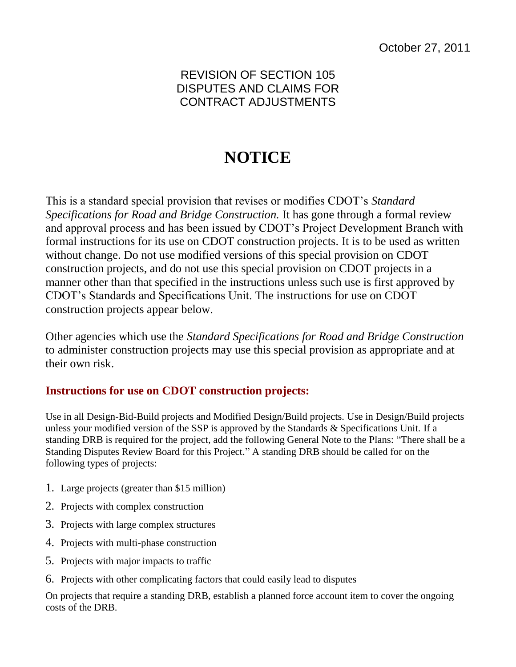# **NOTICE**

This is a standard special provision that revises or modifies CDOT's *Standard Specifications for Road and Bridge Construction.* It has gone through a formal review and approval process and has been issued by CDOT's Project Development Branch with formal instructions for its use on CDOT construction projects. It is to be used as written without change. Do not use modified versions of this special provision on CDOT construction projects, and do not use this special provision on CDOT projects in a manner other than that specified in the instructions unless such use is first approved by CDOT's Standards and Specifications Unit. The instructions for use on CDOT construction projects appear below.

Other agencies which use the *Standard Specifications for Road and Bridge Construction* to administer construction projects may use this special provision as appropriate and at their own risk.

# **Instructions for use on CDOT construction projects:**

Use in all Design-Bid-Build projects and Modified Design/Build projects. Use in Design/Build projects unless your modified version of the SSP is approved by the Standards  $\&$  Specifications Unit. If a standing DRB is required for the project, add the following General Note to the Plans: "There shall be a Standing Disputes Review Board for this Project." A standing DRB should be called for on the following types of projects:

- 1. Large projects (greater than \$15 million)
- 2. Projects with complex construction
- 3. Projects with large complex structures
- 4. Projects with multi-phase construction
- 5. Projects with major impacts to traffic
- 6. Projects with other complicating factors that could easily lead to disputes

On projects that require a standing DRB, establish a planned force account item to cover the ongoing costs of the DRB.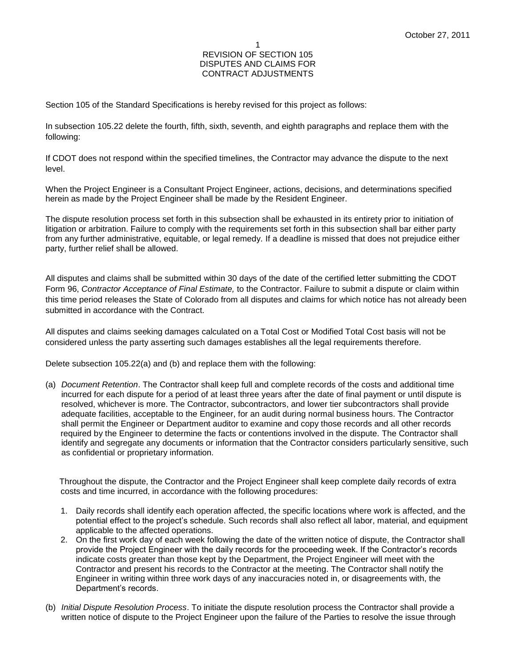Section 105 of the Standard Specifications is hereby revised for this project as follows:

In subsection 105.22 delete the fourth, fifth, sixth, seventh, and eighth paragraphs and replace them with the following:

If CDOT does not respond within the specified timelines, the Contractor may advance the dispute to the next level.

When the Project Engineer is a Consultant Project Engineer, actions, decisions, and determinations specified herein as made by the Project Engineer shall be made by the Resident Engineer.

The dispute resolution process set forth in this subsection shall be exhausted in its entirety prior to initiation of litigation or arbitration. Failure to comply with the requirements set forth in this subsection shall bar either party from any further administrative, equitable, or legal remedy. If a deadline is missed that does not prejudice either party, further relief shall be allowed.

All disputes and claims shall be submitted within 30 days of the date of the certified letter submitting the CDOT Form 96, *Contractor Acceptance of Final Estimate,* to the Contractor. Failure to submit a dispute or claim within this time period releases the State of Colorado from all disputes and claims for which notice has not already been submitted in accordance with the Contract.

All disputes and claims seeking damages calculated on a Total Cost or Modified Total Cost basis will not be considered unless the party asserting such damages establishes all the legal requirements therefore.

Delete subsection 105.22(a) and (b) and replace them with the following:

(a) *Document Retention*. The Contractor shall keep full and complete records of the costs and additional time incurred for each dispute for a period of at least three years after the date of final payment or until dispute is resolved, whichever is more. The Contractor, subcontractors, and lower tier subcontractors shall provide adequate facilities, acceptable to the Engineer, for an audit during normal business hours. The Contractor shall permit the Engineer or Department auditor to examine and copy those records and all other records required by the Engineer to determine the facts or contentions involved in the dispute. The Contractor shall identify and segregate any documents or information that the Contractor considers particularly sensitive, such as confidential or proprietary information.

Throughout the dispute, the Contractor and the Project Engineer shall keep complete daily records of extra costs and time incurred, in accordance with the following procedures:

- 1. Daily records shall identify each operation affected, the specific locations where work is affected, and the potential effect to the project's schedule. Such records shall also reflect all labor, material, and equipment applicable to the affected operations.
- 2. On the first work day of each week following the date of the written notice of dispute, the Contractor shall provide the Project Engineer with the daily records for the proceeding week. If the Contractor's records indicate costs greater than those kept by the Department, the Project Engineer will meet with the Contractor and present his records to the Contractor at the meeting. The Contractor shall notify the Engineer in writing within three work days of any inaccuracies noted in, or disagreements with, the Department's records.
- (b) *Initial Dispute Resolution Process*. To initiate the dispute resolution process the Contractor shall provide a written notice of dispute to the Project Engineer upon the failure of the Parties to resolve the issue through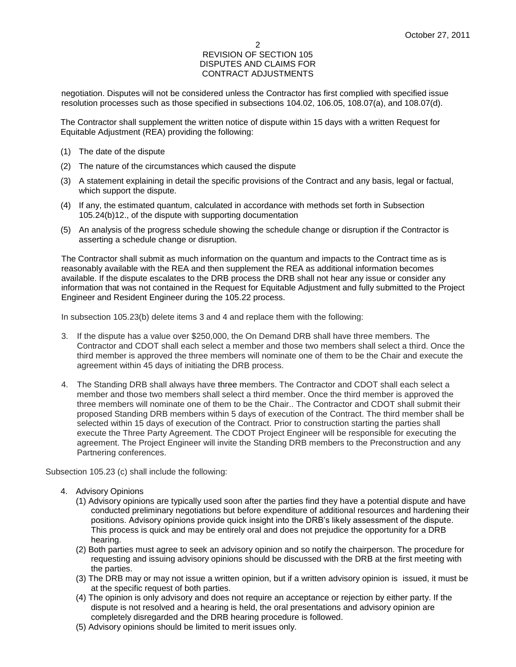negotiation. Disputes will not be considered unless the Contractor has first complied with specified issue resolution processes such as those specified in subsections 104.02, 106.05, 108.07(a), and 108.07(d).

The Contractor shall supplement the written notice of dispute within 15 days with a written Request for Equitable Adjustment (REA) providing the following:

- (1) The date of the dispute
- (2) The nature of the circumstances which caused the dispute
- (3) A statement explaining in detail the specific provisions of the Contract and any basis, legal or factual, which support the dispute.
- (4) If any, the estimated quantum, calculated in accordance with methods set forth in Subsection 105.24(b)12., of the dispute with supporting documentation
- (5) An analysis of the progress schedule showing the schedule change or disruption if the Contractor is asserting a schedule change or disruption.

The Contractor shall submit as much information on the quantum and impacts to the Contract time as is reasonably available with the REA and then supplement the REA as additional information becomes available. If the dispute escalates to the DRB process the DRB shall not hear any issue or consider any information that was not contained in the Request for Equitable Adjustment and fully submitted to the Project Engineer and Resident Engineer during the 105.22 process.

In subsection 105.23(b) delete items 3 and 4 and replace them with the following:

- 3. If the dispute has a value over \$250,000, the On Demand DRB shall have three members. The Contractor and CDOT shall each select a member and those two members shall select a third. Once the third member is approved the three members will nominate one of them to be the Chair and execute the agreement within 45 days of initiating the DRB process.
- 4. The Standing DRB shall always have three members. The Contractor and CDOT shall each select a member and those two members shall select a third member. Once the third member is approved the three members will nominate one of them to be the Chair.. The Contractor and CDOT shall submit their proposed Standing DRB members within 5 days of execution of the Contract. The third member shall be selected within 15 days of execution of the Contract. Prior to construction starting the parties shall execute the Three Party Agreement. The CDOT Project Engineer will be responsible for executing the agreement. The Project Engineer will invite the Standing DRB members to the Preconstruction and any Partnering conferences.

Subsection 105.23 (c) shall include the following:

- 4. Advisory Opinions
	- (1) Advisory opinions are typically used soon after the parties find they have a potential dispute and have conducted preliminary negotiations but before expenditure of additional resources and hardening their positions. Advisory opinions provide quick insight into the DRB's likely assessment of the dispute. This process is quick and may be entirely oral and does not prejudice the opportunity for a DRB hearing.
	- (2) Both parties must agree to seek an advisory opinion and so notify the chairperson. The procedure for requesting and issuing advisory opinions should be discussed with the DRB at the first meeting with the parties.
	- (3) The DRB may or may not issue a written opinion, but if a written advisory opinion is issued, it must be at the specific request of both parties.
	- (4) The opinion is only advisory and does not require an acceptance or rejection by either party. If the dispute is not resolved and a hearing is held, the oral presentations and advisory opinion are completely disregarded and the DRB hearing procedure is followed.
	- (5) Advisory opinions should be limited to merit issues only.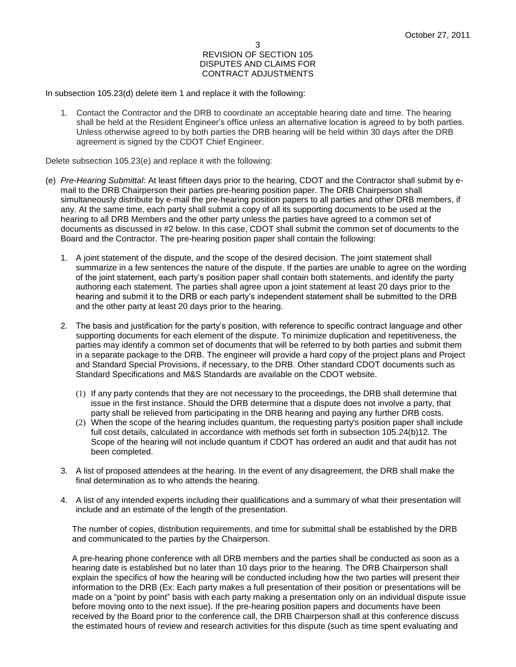In subsection 105.23(d) delete item 1 and replace it with the following:

1. Contact the Contractor and the DRB to coordinate an acceptable hearing date and time. The hearing shall be held at the Resident Engineer's office unless an alternative location is agreed to by both parties. Unless otherwise agreed to by both parties the DRB hearing will be held within 30 days after the DRB agreement is signed by the CDOT Chief Engineer.

Delete subsection 105.23(e) and replace it with the following:

- (e) *Pre-Hearing Submittal*: At least fifteen days prior to the hearing, CDOT and the Contractor shall submit by email to the DRB Chairperson their parties pre-hearing position paper. The DRB Chairperson shall simultaneously distribute by e-mail the pre-hearing position papers to all parties and other DRB members, if any. At the same time, each party shall submit a copy of all its supporting documents to be used at the hearing to all DRB Members and the other party unless the parties have agreed to a common set of documents as discussed in #2 below. In this case, CDOT shall submit the common set of documents to the Board and the Contractor. The pre-hearing position paper shall contain the following:
	- 1. A joint statement of the dispute, and the scope of the desired decision. The joint statement shall summarize in a few sentences the nature of the dispute. If the parties are unable to agree on the wording of the joint statement, each party's position paper shall contain both statements, and identify the party authoring each statement. The parties shall agree upon a joint statement at least 20 days prior to the hearing and submit it to the DRB or each party's independent statement shall be submitted to the DRB and the other party at least 20 days prior to the hearing.
	- 2. The basis and justification for the party's position, with reference to specific contract language and other supporting documents for each element of the dispute. To minimize duplication and repetitiveness, the parties may identify a common set of documents that will be referred to by both parties and submit them in a separate package to the DRB. The engineer will provide a hard copy of the project plans and Project and Standard Special Provisions, if necessary, to the DRB. Other standard CDOT documents such as Standard Specifications and M&S Standards are available on the CDOT website.
		- (1) If any party contends that they are not necessary to the proceedings, the DRB shall determine that issue in the first instance. Should the DRB determine that a dispute does not involve a party, that party shall be relieved from participating in the DRB hearing and paying any further DRB costs.
		- (2) When the scope of the hearing includes quantum, the requesting party's position paper shall include full cost details, calculated in accordance with methods set forth in subsection 105.24(b)12. The Scope of the hearing will not include quantum if CDOT has ordered an audit and that audit has not been completed.
	- 3. A list of proposed attendees at the hearing. In the event of any disagreement, the DRB shall make the final determination as to who attends the hearing.
	- 4. A list of any intended experts including their qualifications and a summary of what their presentation will include and an estimate of the length of the presentation.

The number of copies, distribution requirements, and time for submittal shall be established by the DRB and communicated to the parties by the Chairperson.

A pre-hearing phone conference with all DRB members and the parties shall be conducted as soon as a hearing date is established but no later than 10 days prior to the hearing. The DRB Chairperson shall explain the specifics of how the hearing will be conducted including how the two parties will present their information to the DRB (Ex: Each party makes a full presentation of their position or presentations will be made on a "point by point" basis with each party making a presentation only on an individual dispute issue before moving onto to the next issue). If the pre-hearing position papers and documents have been received by the Board prior to the conference call, the DRB Chairperson shall at this conference discuss the estimated hours of review and research activities for this dispute (such as time spent evaluating and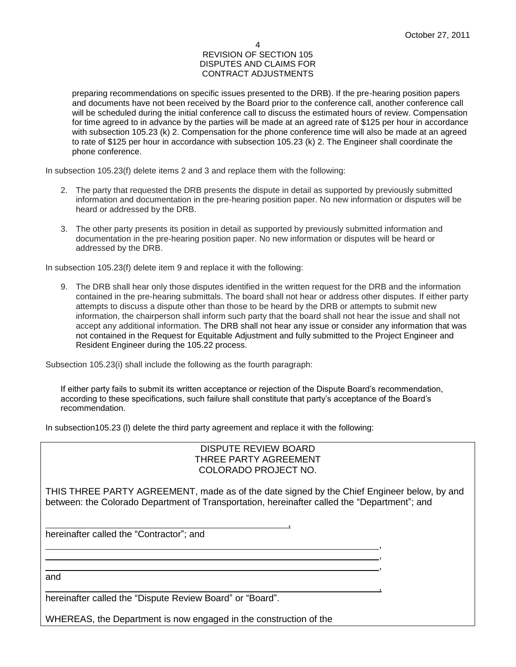preparing recommendations on specific issues presented to the DRB). If the pre-hearing position papers and documents have not been received by the Board prior to the conference call, another conference call will be scheduled during the initial conference call to discuss the estimated hours of review. Compensation for time agreed to in advance by the parties will be made at an agreed rate of \$125 per hour in accordance with subsection 105.23 (k) 2. Compensation for the phone conference time will also be made at an agreed to rate of \$125 per hour in accordance with subsection 105.23 (k) 2. The Engineer shall coordinate the phone conference.

In subsection 105.23(f) delete items 2 and 3 and replace them with the following:

- 2. The party that requested the DRB presents the dispute in detail as supported by previously submitted information and documentation in the pre-hearing position paper. No new information or disputes will be heard or addressed by the DRB.
- 3. The other party presents its position in detail as supported by previously submitted information and documentation in the pre-hearing position paper. No new information or disputes will be heard or addressed by the DRB.

In subsection 105.23(f) delete item 9 and replace it with the following:

9. The DRB shall hear only those disputes identified in the written request for the DRB and the information contained in the pre-hearing submittals. The board shall not hear or address other disputes. If either party attempts to discuss a dispute other than those to be heard by the DRB or attempts to submit new information, the chairperson shall inform such party that the board shall not hear the issue and shall not accept any additional information. The DRB shall not hear any issue or consider any information that was not contained in the Request for Equitable Adjustment and fully submitted to the Project Engineer and Resident Engineer during the 105.22 process.

Subsection 105.23(i) shall include the following as the fourth paragraph:

If either party fails to submit its written acceptance or rejection of the Dispute Board's recommendation, according to these specifications, such failure shall constitute that party's acceptance of the Board's recommendation.

In subsection105.23 (l) delete the third party agreement and replace it with the following:

# DISPUTE REVIEW BOARD THREE PARTY AGREEMENT COLORADO PROJECT NO.

THIS THREE PARTY AGREEMENT, made as of the date signed by the Chief Engineer below, by and between: the Colorado Department of Transportation, hereinafter called the "Department"; and

> , , ,

> ,

hereinafter called the "Contractor"; and

and

hereinafter called the "Dispute Review Board" or "Board".

, where the contract of the contract of the contract of the contract of the contract of the contract of the contract of the contract of the contract of the contract of the contract of the contract of the contract of the c

WHEREAS, the Department is now engaged in the construction of the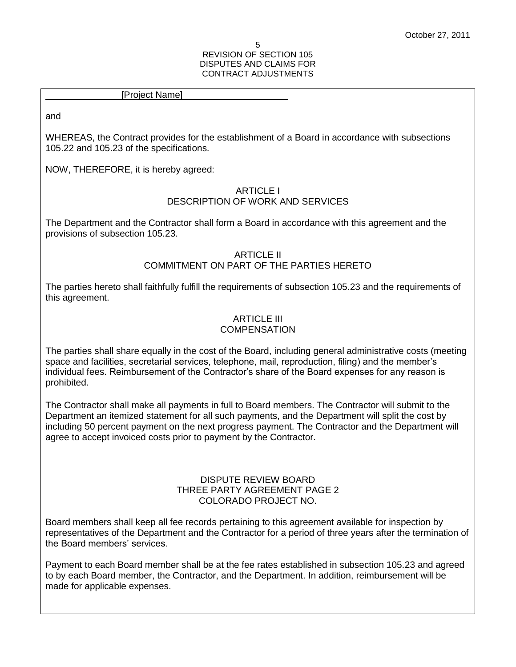[Project Name]

and

WHEREAS, the Contract provides for the establishment of a Board in accordance with subsections 105.22 and 105.23 of the specifications.

NOW, THEREFORE, it is hereby agreed:

# ARTICLE I

# DESCRIPTION OF WORK AND SERVICES

The Department and the Contractor shall form a Board in accordance with this agreement and the provisions of subsection 105.23.

ARTICLE II

# COMMITMENT ON PART OF THE PARTIES HERETO

The parties hereto shall faithfully fulfill the requirements of subsection 105.23 and the requirements of this agreement.

# ARTICLE III **COMPENSATION**

The parties shall share equally in the cost of the Board, including general administrative costs (meeting space and facilities, secretarial services, telephone, mail, reproduction, filing) and the member's individual fees. Reimbursement of the Contractor's share of the Board expenses for any reason is prohibited.

The Contractor shall make all payments in full to Board members. The Contractor will submit to the Department an itemized statement for all such payments, and the Department will split the cost by including 50 percent payment on the next progress payment. The Contractor and the Department will agree to accept invoiced costs prior to payment by the Contractor.

# DISPUTE REVIEW BOARD THREE PARTY AGREEMENT PAGE 2 COLORADO PROJECT NO.

Board members shall keep all fee records pertaining to this agreement available for inspection by representatives of the Department and the Contractor for a period of three years after the termination of the Board members' services.

Payment to each Board member shall be at the fee rates established in subsection 105.23 and agreed to by each Board member, the Contractor, and the Department. In addition, reimbursement will be made for applicable expenses.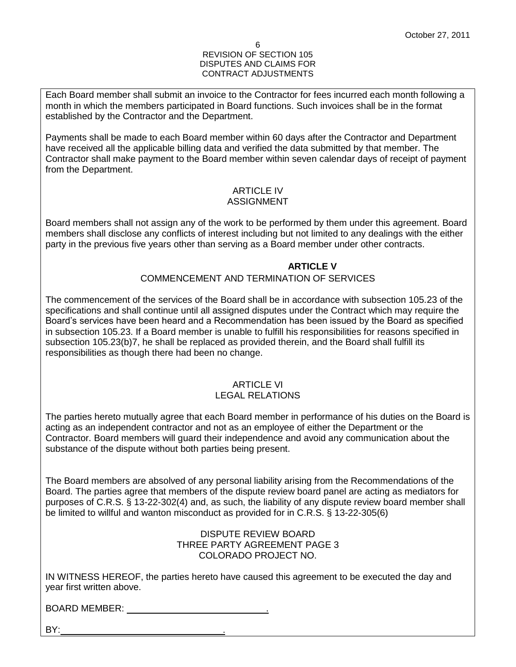Each Board member shall submit an invoice to the Contractor for fees incurred each month following a month in which the members participated in Board functions. Such invoices shall be in the format established by the Contractor and the Department.

Payments shall be made to each Board member within 60 days after the Contractor and Department have received all the applicable billing data and verified the data submitted by that member. The Contractor shall make payment to the Board member within seven calendar days of receipt of payment from the Department.

#### ARTICLE IV ASSIGNMENT

# Board members shall not assign any of the work to be performed by them under this agreement. Board members shall disclose any conflicts of interest including but not limited to any dealings with the either party in the previous five years other than serving as a Board member under other contracts.

# **ARTICLE V**

# COMMENCEMENT AND TERMINATION OF SERVICES

The commencement of the services of the Board shall be in accordance with subsection 105.23 of the specifications and shall continue until all assigned disputes under the Contract which may require the Board's services have been heard and a Recommendation has been issued by the Board as specified in subsection 105.23. If a Board member is unable to fulfill his responsibilities for reasons specified in subsection 105.23(b)7, he shall be replaced as provided therein, and the Board shall fulfill its responsibilities as though there had been no change.

# ARTICLE VI LEGAL RELATIONS

The parties hereto mutually agree that each Board member in performance of his duties on the Board is acting as an independent contractor and not as an employee of either the Department or the Contractor. Board members will guard their independence and avoid any communication about the substance of the dispute without both parties being present.

The Board members are absolved of any personal liability arising from the Recommendations of the Board. The parties agree that members of the dispute review board panel are acting as mediators for purposes of C.R.S. § 13-22-302(4) and, as such, the liability of any dispute review board member shall be limited to willful and wanton misconduct as provided for in C.R.S. § 13-22-305(6)

# DISPUTE REVIEW BOARD THREE PARTY AGREEMENT PAGE 3 COLORADO PROJECT NO.

IN WITNESS HEREOF, the parties hereto have caused this agreement to be executed the day and year first written above.

BOARD MEMBER:  $\blacksquare$ 

BY: .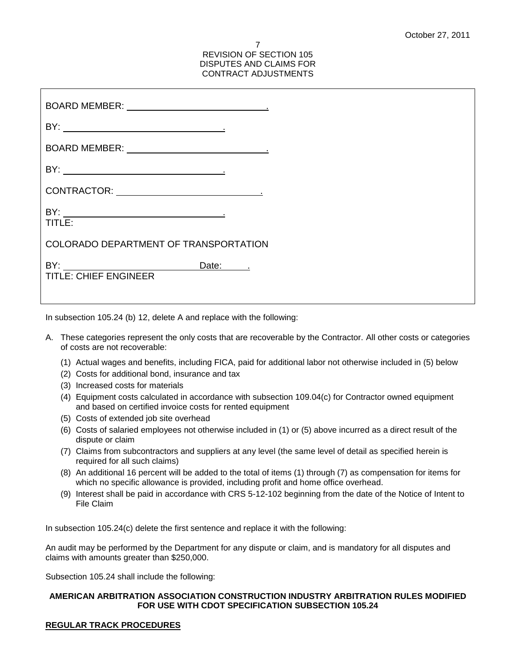| BOARD MEMBER: ___ _______________________________                                                                                                                                                                                                              |         |  |  |
|----------------------------------------------------------------------------------------------------------------------------------------------------------------------------------------------------------------------------------------------------------------|---------|--|--|
|                                                                                                                                                                                                                                                                |         |  |  |
|                                                                                                                                                                                                                                                                |         |  |  |
| TITLE:                                                                                                                                                                                                                                                         |         |  |  |
| COLORADO DEPARTMENT OF TRANSPORTATION                                                                                                                                                                                                                          |         |  |  |
| BY: the contract of the contract of the contract of the contract of the contract of the contract of the contract of the contract of the contract of the contract of the contract of the contract of the contract of the contra<br><b>TITLE: CHIEF ENGINEER</b> | Date: . |  |  |

In subsection 105.24 (b) 12, delete A and replace with the following:

- A. These categories represent the only costs that are recoverable by the Contractor. All other costs or categories of costs are not recoverable:
	- (1) Actual wages and benefits, including FICA, paid for additional labor not otherwise included in (5) below
	- (2) Costs for additional bond, insurance and tax
	- (3) Increased costs for materials
	- (4) Equipment costs calculated in accordance with subsection 109.04(c) for Contractor owned equipment and based on certified invoice costs for rented equipment
	- (5) Costs of extended job site overhead
	- (6) Costs of salaried employees not otherwise included in (1) or (5) above incurred as a direct result of the dispute or claim
	- (7) Claims from subcontractors and suppliers at any level (the same level of detail as specified herein is required for all such claims)
	- (8) An additional 16 percent will be added to the total of items (1) through (7) as compensation for items for which no specific allowance is provided, including profit and home office overhead.
	- (9) Interest shall be paid in accordance with CRS 5-12-102 beginning from the date of the Notice of Intent to File Claim

In subsection 105.24(c) delete the first sentence and replace it with the following:

An audit may be performed by the Department for any dispute or claim, and is mandatory for all disputes and claims with amounts greater than \$250,000.

Subsection 105.24 shall include the following:

# **AMERICAN ARBITRATION ASSOCIATION CONSTRUCTION INDUSTRY ARBITRATION RULES MODIFIED FOR USE WITH CDOT SPECIFICATION SUBSECTION 105.24**

# **REGULAR TRACK PROCEDURES**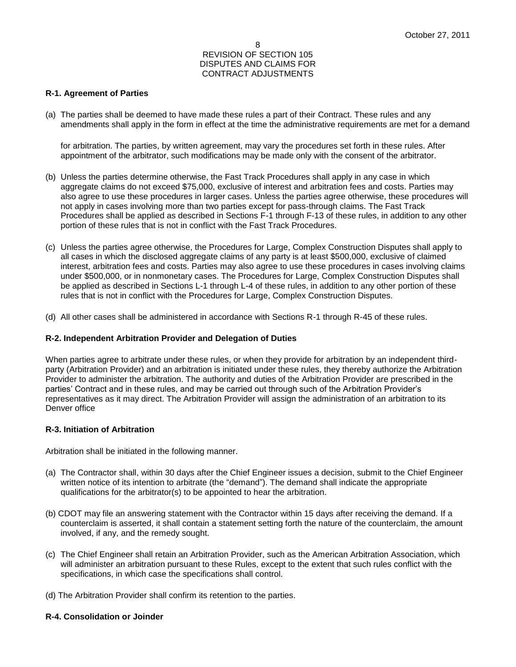#### **R-1. Agreement of Parties**

(a) The parties shall be deemed to have made these rules a part of their Contract. These rules and any amendments shall apply in the form in effect at the time the administrative requirements are met for a demand

for arbitration. The parties, by written agreement, may vary the procedures set forth in these rules. After appointment of the arbitrator, such modifications may be made only with the consent of the arbitrator.

- (b) Unless the parties determine otherwise, the Fast Track Procedures shall apply in any case in which aggregate claims do not exceed \$75,000, exclusive of interest and arbitration fees and costs. Parties may also agree to use these procedures in larger cases. Unless the parties agree otherwise, these procedures will not apply in cases involving more than two parties except for pass-through claims. The Fast Track Procedures shall be applied as described in Sections F-1 through F-13 of these rules, in addition to any other portion of these rules that is not in conflict with the Fast Track Procedures.
- (c) Unless the parties agree otherwise, the Procedures for Large, Complex Construction Disputes shall apply to all cases in which the disclosed aggregate claims of any party is at least \$500,000, exclusive of claimed interest, arbitration fees and costs. Parties may also agree to use these procedures in cases involving claims under \$500,000, or in nonmonetary cases. The Procedures for Large, Complex Construction Disputes shall be applied as described in Sections L-1 through L-4 of these rules, in addition to any other portion of these rules that is not in conflict with the Procedures for Large, Complex Construction Disputes.
- (d) All other cases shall be administered in accordance with Sections R-1 through R-45 of these rules.

#### **R-2. Independent Arbitration Provider and Delegation of Duties**

When parties agree to arbitrate under these rules, or when they provide for arbitration by an independent thirdparty (Arbitration Provider) and an arbitration is initiated under these rules, they thereby authorize the Arbitration Provider to administer the arbitration. The authority and duties of the Arbitration Provider are prescribed in the parties' Contract and in these rules, and may be carried out through such of the Arbitration Provider's representatives as it may direct. The Arbitration Provider will assign the administration of an arbitration to its Denver office

#### **R-3. Initiation of Arbitration**

Arbitration shall be initiated in the following manner.

- (a) The Contractor shall, within 30 days after the Chief Engineer issues a decision, submit to the Chief Engineer written notice of its intention to arbitrate (the "demand"). The demand shall indicate the appropriate qualifications for the arbitrator(s) to be appointed to hear the arbitration.
- (b) CDOT may file an answering statement with the Contractor within 15 days after receiving the demand. If a counterclaim is asserted, it shall contain a statement setting forth the nature of the counterclaim, the amount involved, if any, and the remedy sought.
- (c) The Chief Engineer shall retain an Arbitration Provider, such as the American Arbitration Association, which will administer an arbitration pursuant to these Rules, except to the extent that such rules conflict with the specifications, in which case the specifications shall control.
- (d) The Arbitration Provider shall confirm its retention to the parties.

### **R-4. Consolidation or Joinder**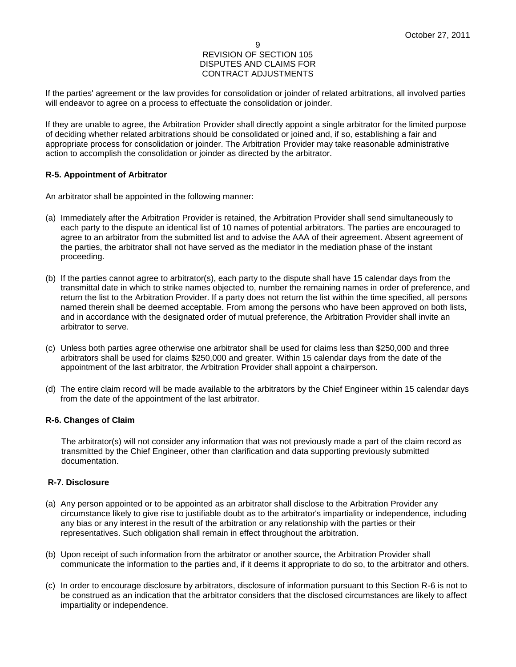If the parties' agreement or the law provides for consolidation or joinder of related arbitrations, all involved parties will endeavor to agree on a process to effectuate the consolidation or joinder.

If they are unable to agree, the Arbitration Provider shall directly appoint a single arbitrator for the limited purpose of deciding whether related arbitrations should be consolidated or joined and, if so, establishing a fair and appropriate process for consolidation or joinder. The Arbitration Provider may take reasonable administrative action to accomplish the consolidation or joinder as directed by the arbitrator.

# **R-5. Appointment of Arbitrator**

An arbitrator shall be appointed in the following manner:

- (a) Immediately after the Arbitration Provider is retained, the Arbitration Provider shall send simultaneously to each party to the dispute an identical list of 10 names of potential arbitrators. The parties are encouraged to agree to an arbitrator from the submitted list and to advise the AAA of their agreement. Absent agreement of the parties, the arbitrator shall not have served as the mediator in the mediation phase of the instant proceeding.
- (b) If the parties cannot agree to arbitrator(s), each party to the dispute shall have 15 calendar days from the transmittal date in which to strike names objected to, number the remaining names in order of preference, and return the list to the Arbitration Provider. If a party does not return the list within the time specified, all persons named therein shall be deemed acceptable. From among the persons who have been approved on both lists, and in accordance with the designated order of mutual preference, the Arbitration Provider shall invite an arbitrator to serve.
- (c) Unless both parties agree otherwise one arbitrator shall be used for claims less than \$250,000 and three arbitrators shall be used for claims \$250,000 and greater. Within 15 calendar days from the date of the appointment of the last arbitrator, the Arbitration Provider shall appoint a chairperson.
- (d) The entire claim record will be made available to the arbitrators by the Chief Engineer within 15 calendar days from the date of the appointment of the last arbitrator.

# **R-6. Changes of Claim**

The arbitrator(s) will not consider any information that was not previously made a part of the claim record as transmitted by the Chief Engineer, other than clarification and data supporting previously submitted documentation.

# **R-7. Disclosure**

- (a) Any person appointed or to be appointed as an arbitrator shall disclose to the Arbitration Provider any circumstance likely to give rise to justifiable doubt as to the arbitrator's impartiality or independence, including any bias or any interest in the result of the arbitration or any relationship with the parties or their representatives. Such obligation shall remain in effect throughout the arbitration.
- (b) Upon receipt of such information from the arbitrator or another source, the Arbitration Provider shall communicate the information to the parties and, if it deems it appropriate to do so, to the arbitrator and others.
- (c) In order to encourage disclosure by arbitrators, disclosure of information pursuant to this Section R-6 is not to be construed as an indication that the arbitrator considers that the disclosed circumstances are likely to affect impartiality or independence.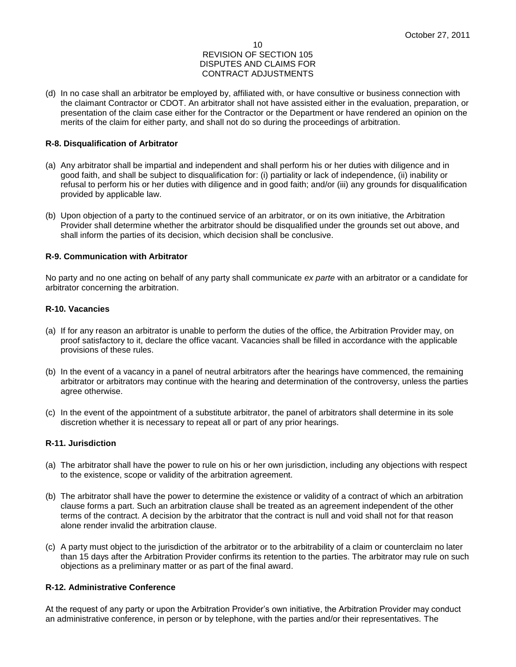(d) In no case shall an arbitrator be employed by, affiliated with, or have consultive or business connection with the claimant Contractor or CDOT. An arbitrator shall not have assisted either in the evaluation, preparation, or presentation of the claim case either for the Contractor or the Department or have rendered an opinion on the merits of the claim for either party, and shall not do so during the proceedings of arbitration.

# **R-8. Disqualification of Arbitrator**

- (a) Any arbitrator shall be impartial and independent and shall perform his or her duties with diligence and in good faith, and shall be subject to disqualification for: (i) partiality or lack of independence, (ii) inability or refusal to perform his or her duties with diligence and in good faith; and/or (iii) any grounds for disqualification provided by applicable law.
- (b) Upon objection of a party to the continued service of an arbitrator, or on its own initiative, the Arbitration Provider shall determine whether the arbitrator should be disqualified under the grounds set out above, and shall inform the parties of its decision, which decision shall be conclusive.

# **R-9. Communication with Arbitrator**

No party and no one acting on behalf of any party shall communicate *ex parte* with an arbitrator or a candidate for arbitrator concerning the arbitration.

#### **R-10. Vacancies**

- (a) If for any reason an arbitrator is unable to perform the duties of the office, the Arbitration Provider may, on proof satisfactory to it, declare the office vacant. Vacancies shall be filled in accordance with the applicable provisions of these rules.
- (b) In the event of a vacancy in a panel of neutral arbitrators after the hearings have commenced, the remaining arbitrator or arbitrators may continue with the hearing and determination of the controversy, unless the parties agree otherwise.
- (c) In the event of the appointment of a substitute arbitrator, the panel of arbitrators shall determine in its sole discretion whether it is necessary to repeat all or part of any prior hearings.

#### **R-11. Jurisdiction**

- (a) The arbitrator shall have the power to rule on his or her own jurisdiction, including any objections with respect to the existence, scope or validity of the arbitration agreement.
- (b) The arbitrator shall have the power to determine the existence or validity of a contract of which an arbitration clause forms a part. Such an arbitration clause shall be treated as an agreement independent of the other terms of the contract. A decision by the arbitrator that the contract is null and void shall not for that reason alone render invalid the arbitration clause.
- (c) A party must object to the jurisdiction of the arbitrator or to the arbitrability of a claim or counterclaim no later than 15 days after the Arbitration Provider confirms its retention to the parties. The arbitrator may rule on such objections as a preliminary matter or as part of the final award.

#### **R-12. Administrative Conference**

At the request of any party or upon the Arbitration Provider's own initiative, the Arbitration Provider may conduct an administrative conference, in person or by telephone, with the parties and/or their representatives. The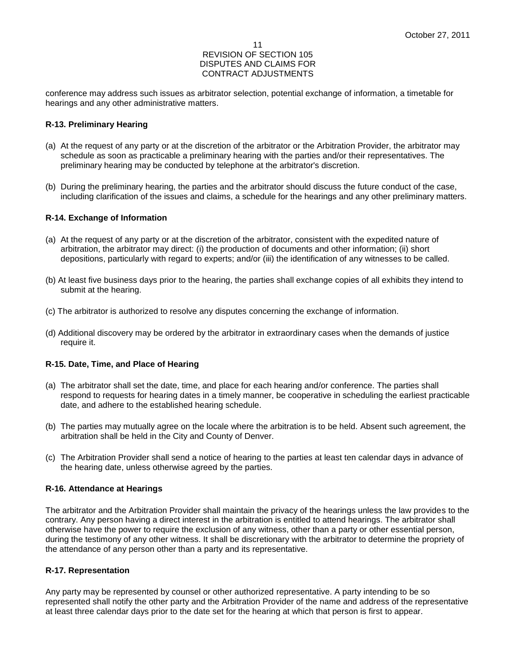conference may address such issues as arbitrator selection, potential exchange of information, a timetable for hearings and any other administrative matters.

# **R-13. Preliminary Hearing**

- (a) At the request of any party or at the discretion of the arbitrator or the Arbitration Provider, the arbitrator may schedule as soon as practicable a preliminary hearing with the parties and/or their representatives. The preliminary hearing may be conducted by telephone at the arbitrator's discretion.
- (b) During the preliminary hearing, the parties and the arbitrator should discuss the future conduct of the case, including clarification of the issues and claims, a schedule for the hearings and any other preliminary matters.

# **R-14. Exchange of Information**

- (a) At the request of any party or at the discretion of the arbitrator, consistent with the expedited nature of arbitration, the arbitrator may direct: (i) the production of documents and other information; (ii) short depositions, particularly with regard to experts; and/or (iii) the identification of any witnesses to be called.
- (b) At least five business days prior to the hearing, the parties shall exchange copies of all exhibits they intend to submit at the hearing.
- (c) The arbitrator is authorized to resolve any disputes concerning the exchange of information.
- (d) Additional discovery may be ordered by the arbitrator in extraordinary cases when the demands of justice require it.

#### **R-15. Date, Time, and Place of Hearing**

- (a) The arbitrator shall set the date, time, and place for each hearing and/or conference. The parties shall respond to requests for hearing dates in a timely manner, be cooperative in scheduling the earliest practicable date, and adhere to the established hearing schedule.
- (b) The parties may mutually agree on the locale where the arbitration is to be held. Absent such agreement, the arbitration shall be held in the City and County of Denver.
- (c) The Arbitration Provider shall send a notice of hearing to the parties at least ten calendar days in advance of the hearing date, unless otherwise agreed by the parties.

#### **R-16. Attendance at Hearings**

The arbitrator and the Arbitration Provider shall maintain the privacy of the hearings unless the law provides to the contrary. Any person having a direct interest in the arbitration is entitled to attend hearings. The arbitrator shall otherwise have the power to require the exclusion of any witness, other than a party or other essential person, during the testimony of any other witness. It shall be discretionary with the arbitrator to determine the propriety of the attendance of any person other than a party and its representative.

#### **R-17. Representation**

Any party may be represented by counsel or other authorized representative. A party intending to be so represented shall notify the other party and the Arbitration Provider of the name and address of the representative at least three calendar days prior to the date set for the hearing at which that person is first to appear.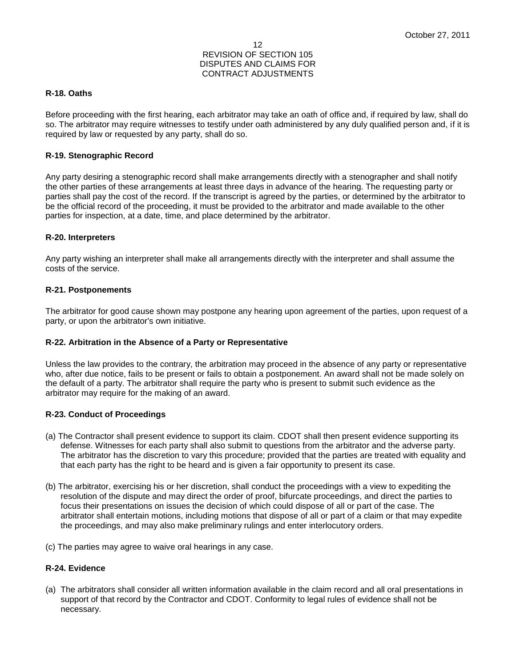# **R-18. Oaths**

Before proceeding with the first hearing, each arbitrator may take an oath of office and, if required by law, shall do so. The arbitrator may require witnesses to testify under oath administered by any duly qualified person and, if it is required by law or requested by any party, shall do so.

# **R-19. Stenographic Record**

Any party desiring a stenographic record shall make arrangements directly with a stenographer and shall notify the other parties of these arrangements at least three days in advance of the hearing. The requesting party or parties shall pay the cost of the record. If the transcript is agreed by the parties, or determined by the arbitrator to be the official record of the proceeding, it must be provided to the arbitrator and made available to the other parties for inspection, at a date, time, and place determined by the arbitrator.

#### **R-20. Interpreters**

Any party wishing an interpreter shall make all arrangements directly with the interpreter and shall assume the costs of the service.

# **R-21. Postponements**

The arbitrator for good cause shown may postpone any hearing upon agreement of the parties, upon request of a party, or upon the arbitrator's own initiative.

#### **R-22. Arbitration in the Absence of a Party or Representative**

Unless the law provides to the contrary, the arbitration may proceed in the absence of any party or representative who, after due notice, fails to be present or fails to obtain a postponement. An award shall not be made solely on the default of a party. The arbitrator shall require the party who is present to submit such evidence as the arbitrator may require for the making of an award.

#### **R-23. Conduct of Proceedings**

- (a) The Contractor shall present evidence to support its claim. CDOT shall then present evidence supporting its defense. Witnesses for each party shall also submit to questions from the arbitrator and the adverse party. The arbitrator has the discretion to vary this procedure; provided that the parties are treated with equality and that each party has the right to be heard and is given a fair opportunity to present its case.
- (b) The arbitrator, exercising his or her discretion, shall conduct the proceedings with a view to expediting the resolution of the dispute and may direct the order of proof, bifurcate proceedings, and direct the parties to focus their presentations on issues the decision of which could dispose of all or part of the case. The arbitrator shall entertain motions, including motions that dispose of all or part of a claim or that may expedite the proceedings, and may also make preliminary rulings and enter interlocutory orders.
- (c) The parties may agree to waive oral hearings in any case.

#### **R-24. Evidence**

(a) The arbitrators shall consider all written information available in the claim record and all oral presentations in support of that record by the Contractor and CDOT. Conformity to legal rules of evidence shall not be necessary.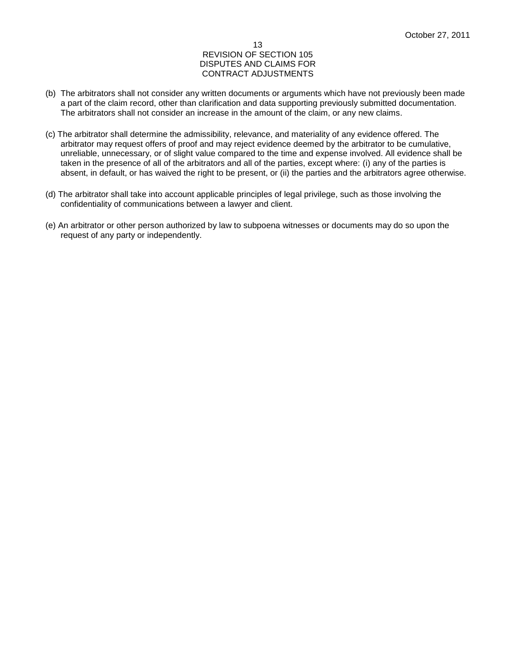- (b) The arbitrators shall not consider any written documents or arguments which have not previously been made a part of the claim record, other than clarification and data supporting previously submitted documentation. The arbitrators shall not consider an increase in the amount of the claim, or any new claims.
- (c) The arbitrator shall determine the admissibility, relevance, and materiality of any evidence offered. The arbitrator may request offers of proof and may reject evidence deemed by the arbitrator to be cumulative, unreliable, unnecessary, or of slight value compared to the time and expense involved. All evidence shall be taken in the presence of all of the arbitrators and all of the parties, except where: (i) any of the parties is absent, in default, or has waived the right to be present, or (ii) the parties and the arbitrators agree otherwise.
- (d) The arbitrator shall take into account applicable principles of legal privilege, such as those involving the confidentiality of communications between a lawyer and client.
- (e) An arbitrator or other person authorized by law to subpoena witnesses or documents may do so upon the request of any party or independently.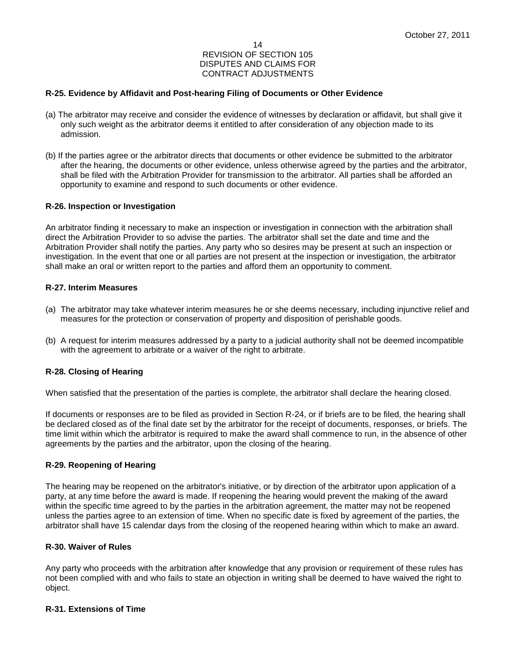# **R-25. Evidence by Affidavit and Post-hearing Filing of Documents or Other Evidence**

- (a) The arbitrator may receive and consider the evidence of witnesses by declaration or affidavit, but shall give it only such weight as the arbitrator deems it entitled to after consideration of any objection made to its admission.
- (b) If the parties agree or the arbitrator directs that documents or other evidence be submitted to the arbitrator after the hearing, the documents or other evidence, unless otherwise agreed by the parties and the arbitrator, shall be filed with the Arbitration Provider for transmission to the arbitrator. All parties shall be afforded an opportunity to examine and respond to such documents or other evidence.

#### **R-26. Inspection or Investigation**

An arbitrator finding it necessary to make an inspection or investigation in connection with the arbitration shall direct the Arbitration Provider to so advise the parties. The arbitrator shall set the date and time and the Arbitration Provider shall notify the parties. Any party who so desires may be present at such an inspection or investigation. In the event that one or all parties are not present at the inspection or investigation, the arbitrator shall make an oral or written report to the parties and afford them an opportunity to comment.

#### **R-27. Interim Measures**

- (a) The arbitrator may take whatever interim measures he or she deems necessary, including injunctive relief and measures for the protection or conservation of property and disposition of perishable goods.
- (b) A request for interim measures addressed by a party to a judicial authority shall not be deemed incompatible with the agreement to arbitrate or a waiver of the right to arbitrate.

#### **R-28. Closing of Hearing**

When satisfied that the presentation of the parties is complete, the arbitrator shall declare the hearing closed.

If documents or responses are to be filed as provided in Section R-24, or if briefs are to be filed, the hearing shall be declared closed as of the final date set by the arbitrator for the receipt of documents, responses, or briefs. The time limit within which the arbitrator is required to make the award shall commence to run, in the absence of other agreements by the parties and the arbitrator, upon the closing of the hearing.

#### **R-29. Reopening of Hearing**

The hearing may be reopened on the arbitrator's initiative, or by direction of the arbitrator upon application of a party, at any time before the award is made. If reopening the hearing would prevent the making of the award within the specific time agreed to by the parties in the arbitration agreement, the matter may not be reopened unless the parties agree to an extension of time. When no specific date is fixed by agreement of the parties, the arbitrator shall have 15 calendar days from the closing of the reopened hearing within which to make an award.

#### **R-30. Waiver of Rules**

Any party who proceeds with the arbitration after knowledge that any provision or requirement of these rules has not been complied with and who fails to state an objection in writing shall be deemed to have waived the right to object.

# **R-31. Extensions of Time**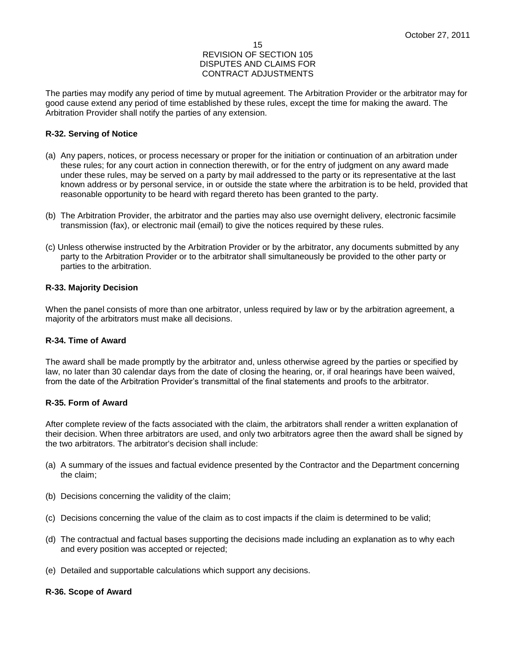The parties may modify any period of time by mutual agreement. The Arbitration Provider or the arbitrator may for good cause extend any period of time established by these rules, except the time for making the award. The Arbitration Provider shall notify the parties of any extension.

# **R-32. Serving of Notice**

- (a) Any papers, notices, or process necessary or proper for the initiation or continuation of an arbitration under these rules; for any court action in connection therewith, or for the entry of judgment on any award made under these rules, may be served on a party by mail addressed to the party or its representative at the last known address or by personal service, in or outside the state where the arbitration is to be held, provided that reasonable opportunity to be heard with regard thereto has been granted to the party.
- (b) The Arbitration Provider, the arbitrator and the parties may also use overnight delivery, electronic facsimile transmission (fax), or electronic mail (email) to give the notices required by these rules.
- (c) Unless otherwise instructed by the Arbitration Provider or by the arbitrator, any documents submitted by any party to the Arbitration Provider or to the arbitrator shall simultaneously be provided to the other party or parties to the arbitration.

#### **R-33. Majority Decision**

When the panel consists of more than one arbitrator, unless required by law or by the arbitration agreement, a majority of the arbitrators must make all decisions.

#### **R-34. Time of Award**

The award shall be made promptly by the arbitrator and, unless otherwise agreed by the parties or specified by law, no later than 30 calendar days from the date of closing the hearing, or, if oral hearings have been waived, from the date of the Arbitration Provider's transmittal of the final statements and proofs to the arbitrator.

#### **R-35. Form of Award**

After complete review of the facts associated with the claim, the arbitrators shall render a written explanation of their decision. When three arbitrators are used, and only two arbitrators agree then the award shall be signed by the two arbitrators. The arbitrator's decision shall include:

- (a) A summary of the issues and factual evidence presented by the Contractor and the Department concerning the claim;
- (b) Decisions concerning the validity of the claim;
- (c) Decisions concerning the value of the claim as to cost impacts if the claim is determined to be valid;
- (d) The contractual and factual bases supporting the decisions made including an explanation as to why each and every position was accepted or rejected;
- (e) Detailed and supportable calculations which support any decisions.

#### **R-36. Scope of Award**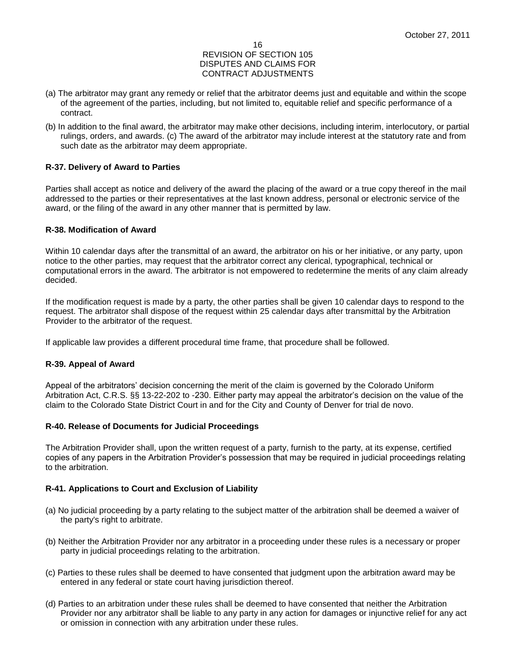- (a) The arbitrator may grant any remedy or relief that the arbitrator deems just and equitable and within the scope of the agreement of the parties, including, but not limited to, equitable relief and specific performance of a contract.
- (b) In addition to the final award, the arbitrator may make other decisions, including interim, interlocutory, or partial rulings, orders, and awards. (c) The award of the arbitrator may include interest at the statutory rate and from such date as the arbitrator may deem appropriate.

# **R-37. Delivery of Award to Parties**

Parties shall accept as notice and delivery of the award the placing of the award or a true copy thereof in the mail addressed to the parties or their representatives at the last known address, personal or electronic service of the award, or the filing of the award in any other manner that is permitted by law.

# **R-38. Modification of Award**

Within 10 calendar days after the transmittal of an award, the arbitrator on his or her initiative, or any party, upon notice to the other parties, may request that the arbitrator correct any clerical, typographical, technical or computational errors in the award. The arbitrator is not empowered to redetermine the merits of any claim already decided.

If the modification request is made by a party, the other parties shall be given 10 calendar days to respond to the request. The arbitrator shall dispose of the request within 25 calendar days after transmittal by the Arbitration Provider to the arbitrator of the request.

If applicable law provides a different procedural time frame, that procedure shall be followed.

# **R-39. Appeal of Award**

Appeal of the arbitrators' decision concerning the merit of the claim is governed by the Colorado Uniform Arbitration Act, C.R.S. §§ 13-22-202 to -230. Either party may appeal the arbitrator's decision on the value of the claim to the Colorado State District Court in and for the City and County of Denver for trial de novo.

# **R-40. Release of Documents for Judicial Proceedings**

The Arbitration Provider shall, upon the written request of a party, furnish to the party, at its expense, certified copies of any papers in the Arbitration Provider's possession that may be required in judicial proceedings relating to the arbitration.

# **R-41. Applications to Court and Exclusion of Liability**

- (a) No judicial proceeding by a party relating to the subject matter of the arbitration shall be deemed a waiver of the party's right to arbitrate.
- (b) Neither the Arbitration Provider nor any arbitrator in a proceeding under these rules is a necessary or proper party in judicial proceedings relating to the arbitration.
- (c) Parties to these rules shall be deemed to have consented that judgment upon the arbitration award may be entered in any federal or state court having jurisdiction thereof.
- (d) Parties to an arbitration under these rules shall be deemed to have consented that neither the Arbitration Provider nor any arbitrator shall be liable to any party in any action for damages or injunctive relief for any act or omission in connection with any arbitration under these rules.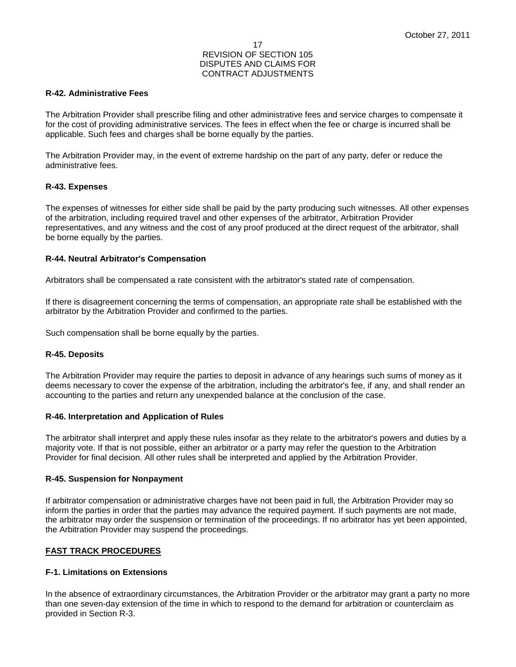# **R-42. Administrative Fees**

The Arbitration Provider shall prescribe filing and other administrative fees and service charges to compensate it for the cost of providing administrative services. The fees in effect when the fee or charge is incurred shall be applicable. Such fees and charges shall be borne equally by the parties.

The Arbitration Provider may, in the event of extreme hardship on the part of any party, defer or reduce the administrative fees.

#### **R-43. Expenses**

The expenses of witnesses for either side shall be paid by the party producing such witnesses. All other expenses of the arbitration, including required travel and other expenses of the arbitrator, Arbitration Provider representatives, and any witness and the cost of any proof produced at the direct request of the arbitrator, shall be borne equally by the parties.

#### **R-44. Neutral Arbitrator's Compensation**

Arbitrators shall be compensated a rate consistent with the arbitrator's stated rate of compensation.

If there is disagreement concerning the terms of compensation, an appropriate rate shall be established with the arbitrator by the Arbitration Provider and confirmed to the parties.

Such compensation shall be borne equally by the parties.

#### **R-45. Deposits**

The Arbitration Provider may require the parties to deposit in advance of any hearings such sums of money as it deems necessary to cover the expense of the arbitration, including the arbitrator's fee, if any, and shall render an accounting to the parties and return any unexpended balance at the conclusion of the case.

#### **R-46. Interpretation and Application of Rules**

The arbitrator shall interpret and apply these rules insofar as they relate to the arbitrator's powers and duties by a majority vote. If that is not possible, either an arbitrator or a party may refer the question to the Arbitration Provider for final decision. All other rules shall be interpreted and applied by the Arbitration Provider.

#### **R-45. Suspension for Nonpayment**

If arbitrator compensation or administrative charges have not been paid in full, the Arbitration Provider may so inform the parties in order that the parties may advance the required payment. If such payments are not made, the arbitrator may order the suspension or termination of the proceedings. If no arbitrator has yet been appointed, the Arbitration Provider may suspend the proceedings.

#### **FAST TRACK PROCEDURES**

# **F-1. Limitations on Extensions**

In the absence of extraordinary circumstances, the Arbitration Provider or the arbitrator may grant a party no more than one seven-day extension of the time in which to respond to the demand for arbitration or counterclaim as provided in Section R-3.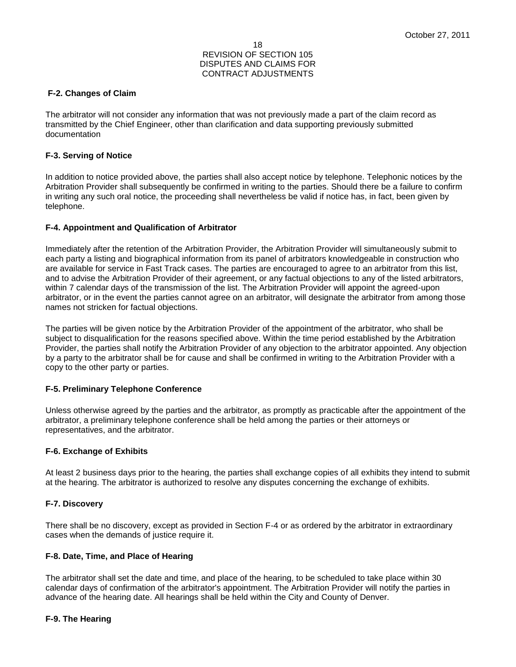# **F-2. Changes of Claim**

The arbitrator will not consider any information that was not previously made a part of the claim record as transmitted by the Chief Engineer, other than clarification and data supporting previously submitted documentation

# **F-3. Serving of Notice**

In addition to notice provided above, the parties shall also accept notice by telephone. Telephonic notices by the Arbitration Provider shall subsequently be confirmed in writing to the parties. Should there be a failure to confirm in writing any such oral notice, the proceeding shall nevertheless be valid if notice has, in fact, been given by telephone.

# **F-4. Appointment and Qualification of Arbitrator**

Immediately after the retention of the Arbitration Provider, the Arbitration Provider will simultaneously submit to each party a listing and biographical information from its panel of arbitrators knowledgeable in construction who are available for service in Fast Track cases. The parties are encouraged to agree to an arbitrator from this list, and to advise the Arbitration Provider of their agreement, or any factual objections to any of the listed arbitrators, within 7 calendar days of the transmission of the list. The Arbitration Provider will appoint the agreed-upon arbitrator, or in the event the parties cannot agree on an arbitrator, will designate the arbitrator from among those names not stricken for factual objections.

The parties will be given notice by the Arbitration Provider of the appointment of the arbitrator, who shall be subject to disqualification for the reasons specified above. Within the time period established by the Arbitration Provider, the parties shall notify the Arbitration Provider of any objection to the arbitrator appointed. Any objection by a party to the arbitrator shall be for cause and shall be confirmed in writing to the Arbitration Provider with a copy to the other party or parties.

#### **F-5. Preliminary Telephone Conference**

Unless otherwise agreed by the parties and the arbitrator, as promptly as practicable after the appointment of the arbitrator, a preliminary telephone conference shall be held among the parties or their attorneys or representatives, and the arbitrator.

#### **F-6. Exchange of Exhibits**

At least 2 business days prior to the hearing, the parties shall exchange copies of all exhibits they intend to submit at the hearing. The arbitrator is authorized to resolve any disputes concerning the exchange of exhibits.

#### **F-7. Discovery**

There shall be no discovery, except as provided in Section F-4 or as ordered by the arbitrator in extraordinary cases when the demands of justice require it.

#### **F-8. Date, Time, and Place of Hearing**

The arbitrator shall set the date and time, and place of the hearing, to be scheduled to take place within 30 calendar days of confirmation of the arbitrator's appointment. The Arbitration Provider will notify the parties in advance of the hearing date. All hearings shall be held within the City and County of Denver.

# **F-9. The Hearing**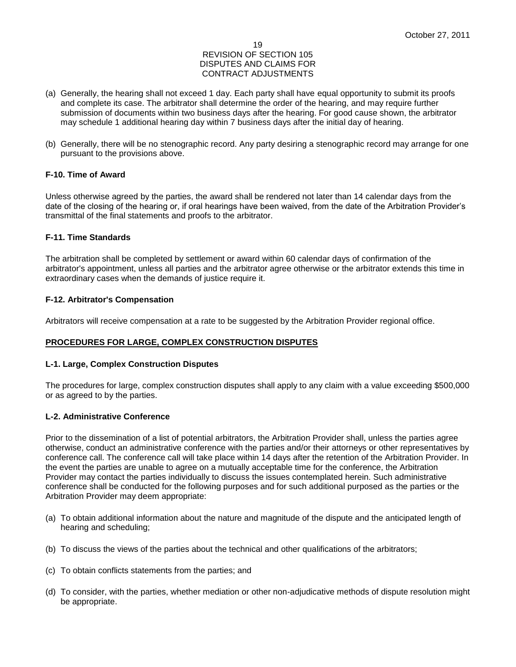- (a) Generally, the hearing shall not exceed 1 day. Each party shall have equal opportunity to submit its proofs and complete its case. The arbitrator shall determine the order of the hearing, and may require further submission of documents within two business days after the hearing. For good cause shown, the arbitrator may schedule 1 additional hearing day within 7 business days after the initial day of hearing.
- (b) Generally, there will be no stenographic record. Any party desiring a stenographic record may arrange for one pursuant to the provisions above.

# **F-10. Time of Award**

Unless otherwise agreed by the parties, the award shall be rendered not later than 14 calendar days from the date of the closing of the hearing or, if oral hearings have been waived, from the date of the Arbitration Provider's transmittal of the final statements and proofs to the arbitrator.

# **F-11. Time Standards**

The arbitration shall be completed by settlement or award within 60 calendar days of confirmation of the arbitrator's appointment, unless all parties and the arbitrator agree otherwise or the arbitrator extends this time in extraordinary cases when the demands of justice require it.

# **F-12. Arbitrator's Compensation**

Arbitrators will receive compensation at a rate to be suggested by the Arbitration Provider regional office.

# **PROCEDURES FOR LARGE, COMPLEX CONSTRUCTION DISPUTES**

#### **L-1. Large, Complex Construction Disputes**

The procedures for large, complex construction disputes shall apply to any claim with a value exceeding \$500,000 or as agreed to by the parties.

#### **L-2. Administrative Conference**

Prior to the dissemination of a list of potential arbitrators, the Arbitration Provider shall, unless the parties agree otherwise, conduct an administrative conference with the parties and/or their attorneys or other representatives by conference call. The conference call will take place within 14 days after the retention of the Arbitration Provider. In the event the parties are unable to agree on a mutually acceptable time for the conference, the Arbitration Provider may contact the parties individually to discuss the issues contemplated herein. Such administrative conference shall be conducted for the following purposes and for such additional purposed as the parties or the Arbitration Provider may deem appropriate:

- (a) To obtain additional information about the nature and magnitude of the dispute and the anticipated length of hearing and scheduling;
- (b) To discuss the views of the parties about the technical and other qualifications of the arbitrators;
- (c) To obtain conflicts statements from the parties; and
- (d) To consider, with the parties, whether mediation or other non-adjudicative methods of dispute resolution might be appropriate.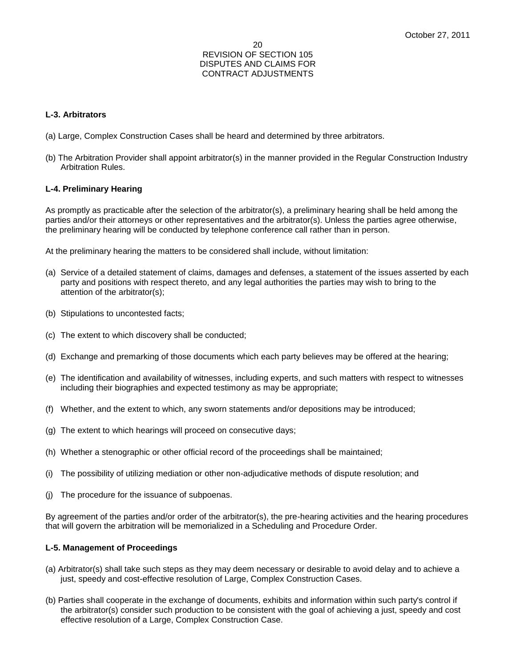#### **L-3. Arbitrators**

- (a) Large, Complex Construction Cases shall be heard and determined by three arbitrators.
- (b) The Arbitration Provider shall appoint arbitrator(s) in the manner provided in the Regular Construction Industry Arbitration Rules.

# **L-4. Preliminary Hearing**

As promptly as practicable after the selection of the arbitrator(s), a preliminary hearing shall be held among the parties and/or their attorneys or other representatives and the arbitrator(s). Unless the parties agree otherwise, the preliminary hearing will be conducted by telephone conference call rather than in person.

At the preliminary hearing the matters to be considered shall include, without limitation:

- (a) Service of a detailed statement of claims, damages and defenses, a statement of the issues asserted by each party and positions with respect thereto, and any legal authorities the parties may wish to bring to the attention of the arbitrator(s);
- (b) Stipulations to uncontested facts;
- (c) The extent to which discovery shall be conducted;
- (d) Exchange and premarking of those documents which each party believes may be offered at the hearing;
- (e) The identification and availability of witnesses, including experts, and such matters with respect to witnesses including their biographies and expected testimony as may be appropriate;
- (f) Whether, and the extent to which, any sworn statements and/or depositions may be introduced;
- (g) The extent to which hearings will proceed on consecutive days;
- (h) Whether a stenographic or other official record of the proceedings shall be maintained;
- (i) The possibility of utilizing mediation or other non-adjudicative methods of dispute resolution; and
- (j) The procedure for the issuance of subpoenas.

By agreement of the parties and/or order of the arbitrator(s), the pre-hearing activities and the hearing procedures that will govern the arbitration will be memorialized in a Scheduling and Procedure Order.

#### **L-5. Management of Proceedings**

- (a) Arbitrator(s) shall take such steps as they may deem necessary or desirable to avoid delay and to achieve a just, speedy and cost-effective resolution of Large, Complex Construction Cases.
- (b) Parties shall cooperate in the exchange of documents, exhibits and information within such party's control if the arbitrator(s) consider such production to be consistent with the goal of achieving a just, speedy and cost effective resolution of a Large, Complex Construction Case.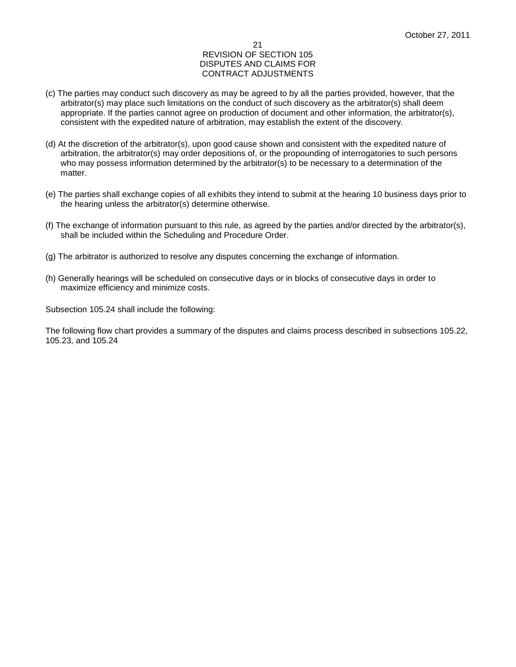- (c) The parties may conduct such discovery as may be agreed to by all the parties provided, however, that the arbitrator(s) may place such limitations on the conduct of such discovery as the arbitrator(s) shall deem appropriate. If the parties cannot agree on production of document and other information, the arbitrator(s), consistent with the expedited nature of arbitration, may establish the extent of the discovery.
- (d) At the discretion of the arbitrator(s), upon good cause shown and consistent with the expedited nature of arbitration, the arbitrator(s) may order depositions of, or the propounding of interrogatories to such persons who may possess information determined by the arbitrator(s) to be necessary to a determination of the matter.
- (e) The parties shall exchange copies of all exhibits they intend to submit at the hearing 10 business days prior to the hearing unless the arbitrator(s) determine otherwise.
- (f) The exchange of information pursuant to this rule, as agreed by the parties and/or directed by the arbitrator(s), shall be included within the Scheduling and Procedure Order.
- (g) The arbitrator is authorized to resolve any disputes concerning the exchange of information.
- (h) Generally hearings will be scheduled on consecutive days or in blocks of consecutive days in order to maximize efficiency and minimize costs.

Subsection 105.24 shall include the following:

The following flow chart provides a summary of the disputes and claims process described in subsections 105.22, 105.23, and 105.24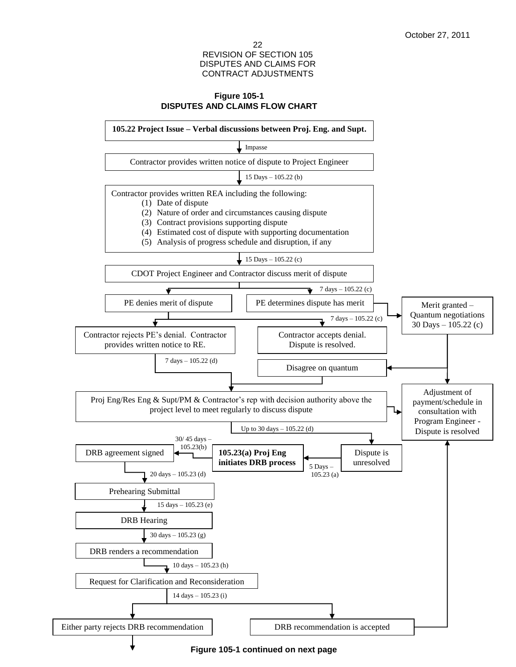#### **Figure 105-1 DISPUTES AND CLAIMS FLOW CHART**